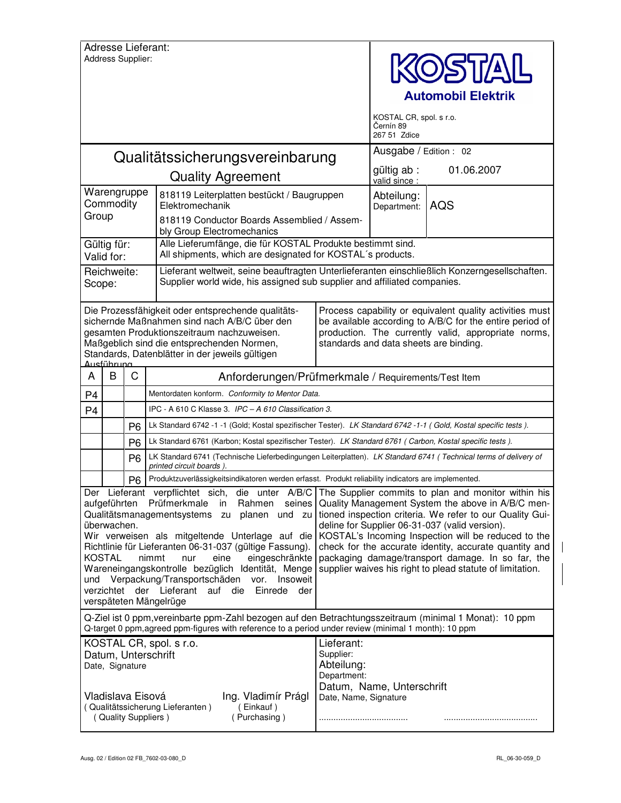|                                                                                                                                                                                                                | Address Supplier:            |                | Adresse Lieferant:                                                                                                                                                                                                                                                                                                                                                                                                               |                                                                                                                                                                                                                       | <b>DISTAIL</b><br><b>Automobil Elektrik</b><br>KOSTAL CR, spol. s r.o.<br>Černín 89                                                                                                                                                                                                                                                                                                                                                                                                                        |            |  |
|----------------------------------------------------------------------------------------------------------------------------------------------------------------------------------------------------------------|------------------------------|----------------|----------------------------------------------------------------------------------------------------------------------------------------------------------------------------------------------------------------------------------------------------------------------------------------------------------------------------------------------------------------------------------------------------------------------------------|-----------------------------------------------------------------------------------------------------------------------------------------------------------------------------------------------------------------------|------------------------------------------------------------------------------------------------------------------------------------------------------------------------------------------------------------------------------------------------------------------------------------------------------------------------------------------------------------------------------------------------------------------------------------------------------------------------------------------------------------|------------|--|
|                                                                                                                                                                                                                |                              |                |                                                                                                                                                                                                                                                                                                                                                                                                                                  |                                                                                                                                                                                                                       | 267 51 Zdice<br>Ausgabe / Edition : 02                                                                                                                                                                                                                                                                                                                                                                                                                                                                     |            |  |
|                                                                                                                                                                                                                |                              |                | Qualitätssicherungsvereinbarung                                                                                                                                                                                                                                                                                                                                                                                                  |                                                                                                                                                                                                                       | gültig ab :                                                                                                                                                                                                                                                                                                                                                                                                                                                                                                | 01.06.2007 |  |
|                                                                                                                                                                                                                |                              |                | <b>Quality Agreement</b>                                                                                                                                                                                                                                                                                                                                                                                                         |                                                                                                                                                                                                                       | valid since :<br>Abteilung:                                                                                                                                                                                                                                                                                                                                                                                                                                                                                |            |  |
| Warengruppe<br>Commodity                                                                                                                                                                                       |                              |                | Elektromechanik                                                                                                                                                                                                                                                                                                                                                                                                                  | 818119 Leiterplatten bestückt / Baugruppen                                                                                                                                                                            |                                                                                                                                                                                                                                                                                                                                                                                                                                                                                                            | AQS        |  |
| Group                                                                                                                                                                                                          |                              |                | bly Group Electromechanics                                                                                                                                                                                                                                                                                                                                                                                                       | 818119 Conductor Boards Assemblied / Assem-                                                                                                                                                                           |                                                                                                                                                                                                                                                                                                                                                                                                                                                                                                            |            |  |
| Gültig für:<br>Valid for:                                                                                                                                                                                      |                              |                | Alle Lieferumfänge, die für KOSTAL Produkte bestimmt sind.<br>All shipments, which are designated for KOSTAL's products.                                                                                                                                                                                                                                                                                                         |                                                                                                                                                                                                                       |                                                                                                                                                                                                                                                                                                                                                                                                                                                                                                            |            |  |
| Reichweite:<br>Scope:                                                                                                                                                                                          |                              |                | Lieferant weltweit, seine beauftragten Unterlieferanten einschließlich Konzerngesellschaften.<br>Supplier world wide, his assigned sub supplier and affiliated companies.                                                                                                                                                                                                                                                        |                                                                                                                                                                                                                       |                                                                                                                                                                                                                                                                                                                                                                                                                                                                                                            |            |  |
|                                                                                                                                                                                                                | Ausführung                   |                | Die Prozessfähigkeit oder entsprechende qualitäts-<br>sichernde Maßnahmen sind nach A/B/C über den<br>gesamten Produktionszeitraum nachzuweisen.<br>Maßgeblich sind die entsprechenden Normen,<br>Standards, Datenblätter in der jeweils gültigen                                                                                                                                                                                | Process capability or equivalent quality activities must<br>be available according to A/B/C for the entire period of<br>production. The currently valid, appropriate norms,<br>standards and data sheets are binding. |                                                                                                                                                                                                                                                                                                                                                                                                                                                                                                            |            |  |
| A                                                                                                                                                                                                              | B                            | C              | Anforderungen/Prüfmerkmale / Requirements/Test Item                                                                                                                                                                                                                                                                                                                                                                              |                                                                                                                                                                                                                       |                                                                                                                                                                                                                                                                                                                                                                                                                                                                                                            |            |  |
| P <sub>4</sub>                                                                                                                                                                                                 |                              |                | Mentordaten konform. Conformity to Mentor Data.                                                                                                                                                                                                                                                                                                                                                                                  |                                                                                                                                                                                                                       |                                                                                                                                                                                                                                                                                                                                                                                                                                                                                                            |            |  |
| P <sub>4</sub>                                                                                                                                                                                                 |                              |                | IPC - A 610 C Klasse 3. IPC - A 610 Classification 3.                                                                                                                                                                                                                                                                                                                                                                            |                                                                                                                                                                                                                       |                                                                                                                                                                                                                                                                                                                                                                                                                                                                                                            |            |  |
|                                                                                                                                                                                                                |                              | P <sub>6</sub> | Lk Standard 6742 -1 -1 (Gold; Kostal spezifischer Tester). LK Standard 6742 -1-1 (Gold, Kostal specific tests).                                                                                                                                                                                                                                                                                                                  |                                                                                                                                                                                                                       |                                                                                                                                                                                                                                                                                                                                                                                                                                                                                                            |            |  |
|                                                                                                                                                                                                                |                              | P <sub>6</sub> | Lk Standard 6761 (Karbon; Kostal spezifischer Tester). LK Standard 6761 (Carbon, Kostal specific tests).                                                                                                                                                                                                                                                                                                                         |                                                                                                                                                                                                                       |                                                                                                                                                                                                                                                                                                                                                                                                                                                                                                            |            |  |
|                                                                                                                                                                                                                |                              | P <sub>6</sub> | LK Standard 6741 (Technische Lieferbedingungen Leiterplatten). LK Standard 6741 (Technical terms of delivery of<br>printed circuit boards).                                                                                                                                                                                                                                                                                      |                                                                                                                                                                                                                       |                                                                                                                                                                                                                                                                                                                                                                                                                                                                                                            |            |  |
|                                                                                                                                                                                                                |                              | P <sub>6</sub> | Produktzuverlässigkeitsindikatoren werden erfasst. Produkt reliability indicators are implemented.                                                                                                                                                                                                                                                                                                                               |                                                                                                                                                                                                                       |                                                                                                                                                                                                                                                                                                                                                                                                                                                                                                            |            |  |
| und                                                                                                                                                                                                            | überwachen.<br><b>KOSTAL</b> |                | aufgeführten Prüfmerkmale in Rahmen seines<br>Qualitätsmanagementsystems zu planen und zu<br>Wir verweisen als mitgeltende Unterlage auf die<br>Richtlinie für Lieferanten 06-31-037 (gültige Fassung).<br>nimmt<br>eine<br>eingeschränkte<br>nur<br>Wareneingangskontrolle bezüglich Identität, Menge<br>Verpackung/Transportschäden vor. Insoweit<br>verzichtet der Lieferant auf die<br>Einrede der<br>verspäteten Mängelrüge |                                                                                                                                                                                                                       | Der Lieferant verpflichtet sich, die unter A/B/C The Supplier commits to plan and monitor within his<br>Quality Management System the above in A/B/C men-<br>tioned inspection criteria. We refer to our Quality Gui-<br>deline for Supplier 06-31-037 (valid version).<br>KOSTAL's Incoming Inspection will be reduced to the<br>check for the accurate identity, accurate quantity and<br>packaging damage/transport damage. In so far, the<br>supplier waives his right to plead statute of limitation. |            |  |
| Q-Ziel ist 0 ppm, vereinbarte ppm-Zahl bezogen auf den Betrachtungsszeitraum (minimal 1 Monat): 10 ppm<br>Q-target 0 ppm, agreed ppm-figures with reference to a period under review (minimal 1 month): 10 ppm |                              |                |                                                                                                                                                                                                                                                                                                                                                                                                                                  |                                                                                                                                                                                                                       |                                                                                                                                                                                                                                                                                                                                                                                                                                                                                                            |            |  |
|                                                                                                                                                                                                                | Date, Signature              |                | KOSTAL CR, spol. s r.o.<br>Datum, Unterschrift<br>Vladislava Eisová<br>Ing. Vladimír Prágl<br>(Qualitätssicherung Lieferanten)<br>(Einkauf)                                                                                                                                                                                                                                                                                      | Lieferant:<br>Supplier:<br>Abteilung:<br>Department:<br>Datum, Name, Unterschrift<br>Date, Name, Signature                                                                                                            |                                                                                                                                                                                                                                                                                                                                                                                                                                                                                                            |            |  |
|                                                                                                                                                                                                                |                              |                | (Purchasing)<br>(Quality Suppliers)                                                                                                                                                                                                                                                                                                                                                                                              |                                                                                                                                                                                                                       |                                                                                                                                                                                                                                                                                                                                                                                                                                                                                                            |            |  |

 $\begin{array}{c} \rule{0pt}{2ex} \rule{0pt}{2ex} \rule{0pt}{2ex} \rule{0pt}{2ex} \rule{0pt}{2ex} \rule{0pt}{2ex} \rule{0pt}{2ex} \rule{0pt}{2ex} \rule{0pt}{2ex} \rule{0pt}{2ex} \rule{0pt}{2ex} \rule{0pt}{2ex} \rule{0pt}{2ex} \rule{0pt}{2ex} \rule{0pt}{2ex} \rule{0pt}{2ex} \rule{0pt}{2ex} \rule{0pt}{2ex} \rule{0pt}{2ex} \rule{0pt}{2ex} \rule{0pt}{2ex} \rule{0pt}{2ex} \rule{0pt}{2ex} \rule{0pt}{$